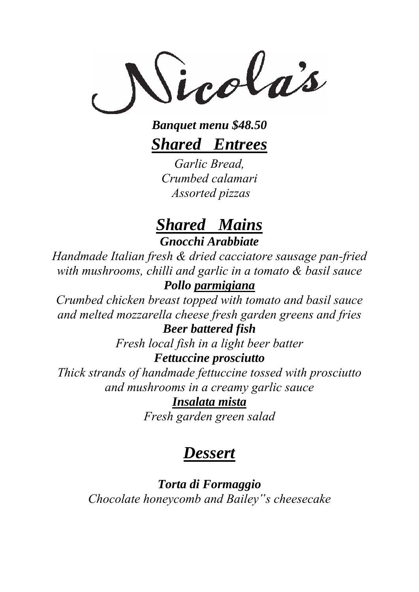Sicolas

*Banquet menu \$48.50 Shared Entrees*

*Garlic Bread, Crumbed calamari Assorted pizzas*

## *Shared Mains Gnocchi Arabbiate*

*Handmade Italian fresh & dried cacciatore sausage pan-fried with mushrooms, chilli and garlic in a tomato & basil sauce Pollo parmigiana*

*Crumbed chicken breast topped with tomato and basil sauce and melted mozzarella cheese fresh garden greens and fries* 

## *Beer battered fish*

*Fresh local fish in a light beer batter* 

### *Fettuccine prosciutto*

*Thick strands of handmade fettuccine tossed with prosciutto and mushrooms in a creamy garlic sauce*

### *Insalata mista*

*Fresh garden green salad* 

# *Dessert*

*Torta di Formaggio Chocolate honeycomb and Bailey"s cheesecake*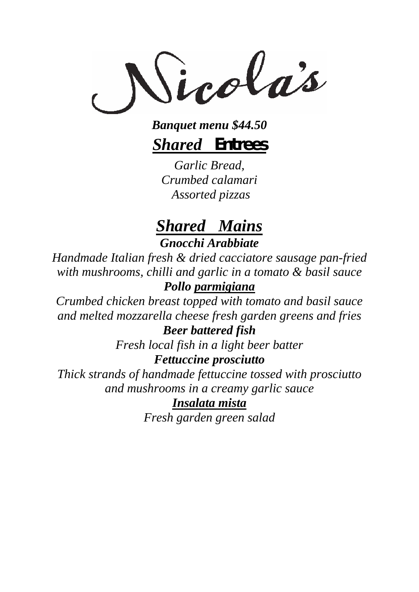Sicolas

*Banquet menu \$44.50 Shared Entrees*

*Garlic Bread, Crumbed calamari Assorted pizzas*

## *Shared Mains Gnocchi Arabbiate*

*Handmade Italian fresh & dried cacciatore sausage pan-fried with mushrooms, chilli and garlic in a tomato & basil sauce*

## *Pollo parmigiana*

*Crumbed chicken breast topped with tomato and basil sauce and melted mozzarella cheese fresh garden greens and fries Beer battered fish* 

*Fresh local fish in a light beer batter Fettuccine prosciutto* 

*Thick strands of handmade fettuccine tossed with prosciutto and mushrooms in a creamy garlic sauce*

### *Insalata mista*

*Fresh garden green salad*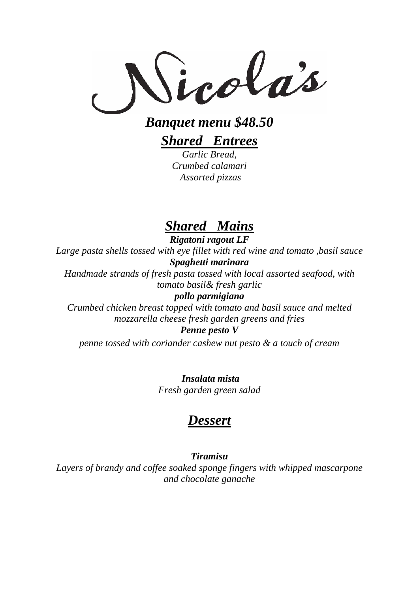Sicolas

*Banquet menu \$48.50* 

*Shared Entrees Garlic Bread,* 

*Crumbed calamari Assorted pizzas*

## *Shared Mains*

*Rigatoni ragout LF Large pasta shells tossed with eye fillet with red wine and tomato ,basil sauce Spaghetti marinara Handmade strands of fresh pasta tossed with local assorted seafood, with* 

*tomato basil& fresh garlic* 

*pollo parmigiana* 

*Crumbed chicken breast topped with tomato and basil sauce and melted mozzarella cheese fresh garden greens and fries Penne pesto V*

*penne tossed with coriander cashew nut pesto & a touch of cream* 

 *Insalata mista Fresh garden green salad* 

## *Dessert*

*Tiramisu*

*Layers of brandy and coffee soaked sponge fingers with whipped mascarpone and chocolate ganache*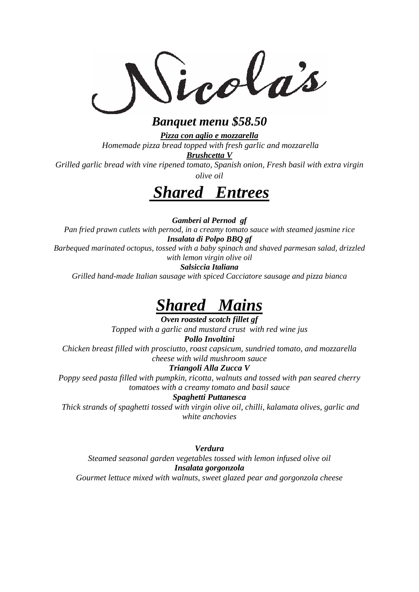icolas

### *Banquet menu \$58.50*

*Pizza con aglio e mozzarella Homemade pizza bread topped with fresh garlic and mozzarella*

*Brushcetta V*

*Grilled garlic bread with vine ripened tomato, Spanish onion, Fresh basil with extra virgin olive oil* 

# *Shared Entrees*

*Gamberi al Pernod gf Pan fried prawn cutlets with pernod, in a creamy tomato sauce with steamed jasmine rice Insalata di Polpo BBQ gf Barbequed marinated octopus, tossed with a baby spinach and shaved parmesan salad, drizzled with lemon virgin olive oil Salsiccia Italiana* 

*Grilled hand-made Italian sausage with spiced Cacciatore sausage and pizza bianca*

## *Shared Mains*

*Oven roasted scotch fillet gf Topped with a garlic and mustard crust with red wine jus Pollo Involtini Chicken breast filled with prosciutto, roast capsicum, sundried tomato, and mozzarella cheese with wild mushroom sauce Triangoli Alla Zucca V Poppy seed pasta filled with pumpkin, ricotta, walnuts and tossed with pan seared cherry tomatoes with a creamy tomato and basil sauce Spaghetti Puttanesca* 

*Thick strands of spaghetti tossed with virgin olive oil, chilli, kalamata olives, garlic and white anchovies* 

*Verdura*

*Steamed seasonal garden vegetables tossed with lemon infused olive oil Insalata gorgonzola Gourmet lettuce mixed with walnuts, sweet glazed pear and gorgonzola cheese*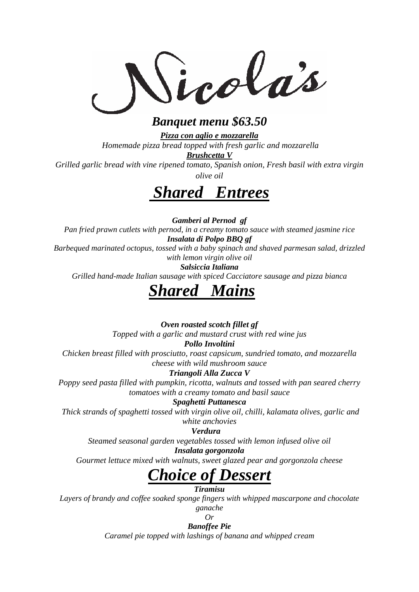icolas

### *Banquet menu \$63.50*

*Pizza con aglio e mozzarella Homemade pizza bread topped with fresh garlic and mozzarella*

*Brushcetta V*

*Grilled garlic bread with vine ripened tomato, Spanish onion, Fresh basil with extra virgin olive oil* 



*Gamberi al Pernod gf Pan fried prawn cutlets with pernod, in a creamy tomato sauce with steamed jasmine rice Insalata di Polpo BBQ gf Barbequed marinated octopus, tossed with a baby spinach and shaved parmesan salad, drizzled with lemon virgin olive oil Salsiccia Italiana* 

*Grilled hand-made Italian sausage with spiced Cacciatore sausage and pizza bianca*

## *Shared Mains*

*Oven roasted scotch fillet gf*

*Topped with a garlic and mustard crust with red wine jus* 

*Pollo Involtini*

*Chicken breast filled with prosciutto, roast capsicum, sundried tomato, and mozzarella cheese with wild mushroom sauce*

#### *Triangoli Alla Zucca V*

*Poppy seed pasta filled with pumpkin, ricotta, walnuts and tossed with pan seared cherry tomatoes with a creamy tomato and basil sauce* 

#### *Spaghetti Puttanesca*

*Thick strands of spaghetti tossed with virgin olive oil, chilli, kalamata olives, garlic and white anchovies* 

#### *<i>Verdura*

*Steamed seasonal garden vegetables tossed with lemon infused olive oil Insalata gorgonzola*

*Gourmet lettuce mixed with walnuts, sweet glazed pear and gorgonzola cheese*

# *Choice of Dessert*

*Tiramisu*

*Layers of brandy and coffee soaked sponge fingers with whipped mascarpone and chocolate ganache* 

*Or* 

*Banoffee Pie Caramel pie topped with lashings of banana and whipped cream*